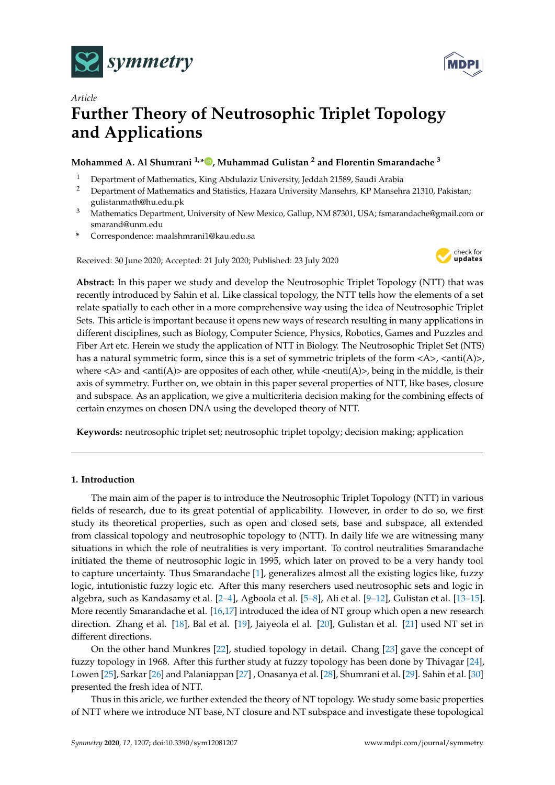



# *Article* **Further Theory of Neutrosophic Triplet Topology and Applications**

# **Mohammed A. Al Shumrani 1,[\\*](https://orcid.org/0000-0000-000-000X) , Muhammad Gulistan <sup>2</sup> and Florentin Smarandache <sup>3</sup>**

- <sup>1</sup> Department of Mathematics, King Abdulaziz University, Jeddah 21589, Saudi Arabia<sup>2</sup> Department of Mathematics and Statistics, Hazara University Manselase, KB Manselas
- <sup>2</sup> Department of Mathematics and Statistics, Hazara University Mansehrs, KP Mansehra 21310, Pakistan; gulistanmath@hu.edu.pk
- <sup>3</sup> Mathematics Department, University of New Mexico, Gallup, NM 87301, USA; fsmarandache@gmail.com or smarand@unm.edu
- **\*** Correspondence: maalshmrani1@kau.edu.sa

Received: 30 June 2020; Accepted: 21 July 2020; Published: 23 July 2020



**Abstract:** In this paper we study and develop the Neutrosophic Triplet Topology (NTT) that was recently introduced by Sahin et al. Like classical topology, the NTT tells how the elements of a set relate spatially to each other in a more comprehensive way using the idea of Neutrosophic Triplet Sets. This article is important because it opens new ways of research resulting in many applications in different disciplines, such as Biology, Computer Science, Physics, Robotics, Games and Puzzles and Fiber Art etc. Herein we study the application of NTT in Biology. The Neutrosophic Triplet Set (NTS) has a natural symmetric form, since this is a set of symmetric triplets of the form  $\langle A \rangle$ ,  $\langle \text{anti}(A) \rangle$ , where  $\langle A \rangle$  and  $\langle \text{anti}(A) \rangle$  are opposites of each other, while  $\langle \text{neuti}(A) \rangle$ , being in the middle, is their axis of symmetry. Further on, we obtain in this paper several properties of NTT, like bases, closure and subspace. As an application, we give a multicriteria decision making for the combining effects of certain enzymes on chosen DNA using the developed theory of NTT.

**Keywords:** neutrosophic triplet set; neutrosophic triplet topolgy; decision making; application

# **1. Introduction**

The main aim of the paper is to introduce the Neutrosophic Triplet Topology (NTT) in various fields of research, due to its great potential of applicability. However, in order to do so, we first study its theoretical properties, such as open and closed sets, base and subspace, all extended from classical topology and neutrosophic topology to (NTT). In daily life we are witnessing many situations in which the role of neutralities is very important. To control neutralities Smarandache initiated the theme of neutrosophic logic in 1995, which later on proved to be a very handy tool to capture uncertainty. Thus Smarandache [\[1\]](#page-10-0), generalizes almost all the existing logics like, fuzzy logic, intutionistic fuzzy logic etc. After this many reserchers used neutrosophic sets and logic in algebra, such as Kandasamy et al. [\[2](#page-10-1)[–4\]](#page-10-2), Agboola et al. [\[5–](#page-10-3)[8\]](#page-10-4), Ali et al. [\[9](#page-10-5)[–12\]](#page-10-6), Gulistan et al. [\[13–](#page-10-7)[15\]](#page-10-8). More recently Smarandache et al. [\[16,](#page-10-9)[17\]](#page-10-10) introduced the idea of NT group which open a new research direction. Zhang et al. [\[18\]](#page-10-11), Bal et al. [\[19\]](#page-10-12), Jaiyeola el al. [\[20\]](#page-11-0), Gulistan et al. [\[21\]](#page-11-1) used NT set in different directions.

On the other hand Munkres [\[22\]](#page-11-2), studied topology in detail. Chang [\[23\]](#page-11-3) gave the concept of fuzzy topology in 1968. After this further study at fuzzy topology has been done by Thivagar [\[24\]](#page-11-4), Lowen [\[25\]](#page-11-5), Sarkar [\[26\]](#page-11-6) and Palaniappan [\[27\]](#page-11-7) , Onasanya et al. [\[28\]](#page-11-8), Shumrani et al. [\[29\]](#page-11-9). Sahin et al. [\[30\]](#page-11-10) presented the fresh idea of NTT.

Thus in this aricle, we further extended the theory of NT topology. We study some basic properties of NTT where we introduce NT base, NT closure and NT subspace and investigate these topological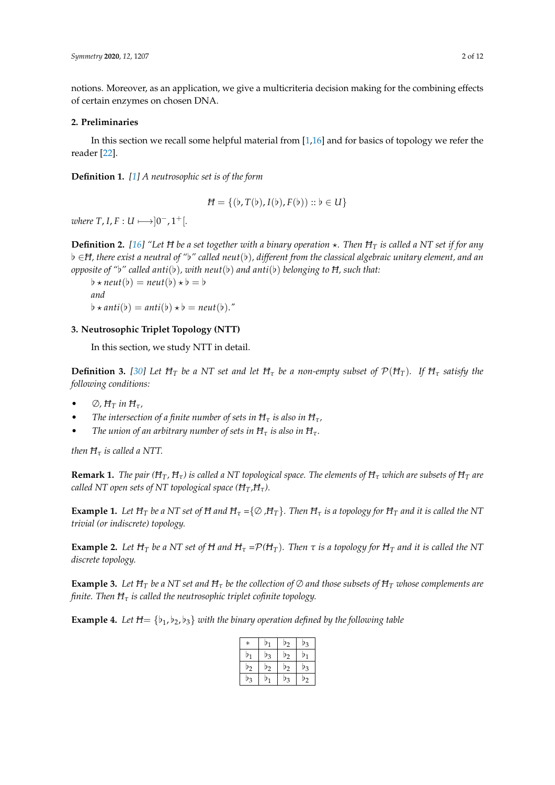notions. Moreover, as an application, we give a multicriteria decision making for the combining effects of certain enzymes on chosen DNA.

#### **2. Preliminaries**

In this section we recall some helpful material from [\[1,](#page-10-0)[16\]](#page-10-9) and for basics of topology we refer the reader [\[22\]](#page-11-2).

**Definition 1.** *[\[1\]](#page-10-0) A neutrosophic set is of the form*

$$
H = \{(\flat, T(\flat), I(\flat), F(\flat)) :: \flat \in U\}
$$

 $$ 

**Definition 2.** [\[16\]](#page-10-9) "Let H be a set together with a binary operation  $\star$ . Then H<sub>T</sub> is called a NT set if for any [ ∈*H, there exist a neutral of "*[*" called neut*([)*, different from the classical algebraic unitary element, and an opposite of "b" called anti*( $\flat$ ), with neut( $\flat$ ) and anti( $\flat$ ) belonging to  $\overline{H}$ , such that:

 $\phi \star \text{neut}(\phi) = \text{neut}(\phi) \star \phi = \phi$ *and*  $\phi \star anti(b) = anti(b) \star b = neutr(b).$ "

# **3. Neutrosophic Triplet Topology (NTT)**

In this section, we study NTT in detail.

**Definition 3.** [\[30\]](#page-11-10) Let  $H_T$  be a NT set and let  $H_T$  be a non-empty subset of  $\mathcal{P}(H_T)$ . If  $H_T$  satisfy the *following conditions:*

- $\oslash$ *, H<sub>T</sub> in H<sub>τ</sub>*,
- *The intersection of a finite number of sets in H<sup>τ</sup> is also in Hτ,*
- *The union of an arbitrary number of sets in*  $H<sub>\tau</sub>$  *is also in*  $H<sub>\tau</sub>$ *.*

*then*  $H<sub>\tau</sub>$  *is called a NTT.* 

**Remark 1.** *The pair* ( $H_T$ ,  $H_T$ ) *is called a NT topological space. The elements of*  $H_T$  *which are subsets of*  $H_T$  *are called NT open sets of NT topological space (HT,Hτ).*

**Example 1.** Let  $H_T$  be a NT set of H and  $H_T = \{ \emptyset, H_T \}$ . Then  $H_T$  is a topology for  $H_T$  and it is called the NT *trivial (or indiscrete) topology.*

**Example 2.** Let  $H_T$  be a NT set of H and  $H_T = P(H_T)$ . Then  $\tau$  is a topology for  $H_T$  and it is called the NT *discrete topology.*

**Example 3.** Let  $H_T$  be a NT set and  $H_T$  be the collection of  $\emptyset$  and those subsets of  $H_T$  whose complements are *finite. Then H<sup>τ</sup> is called the neutrosophic triplet cofinite topology.*

<span id="page-1-0"></span>**Example 4.** Let  $H = \{b_1, b_2, b_3\}$  with the binary operation defined by the following table

| $\ast$  | $\mathsf{p}_1$ | $D_2$ | Þ3 |
|---------|----------------|-------|----|
| D1      | Þ3             | $D_2$ | D1 |
| $D_2$   | D2             | $D_2$ | Þз |
| $\nu_3$ | P <sub>1</sub> | D3    | D2 |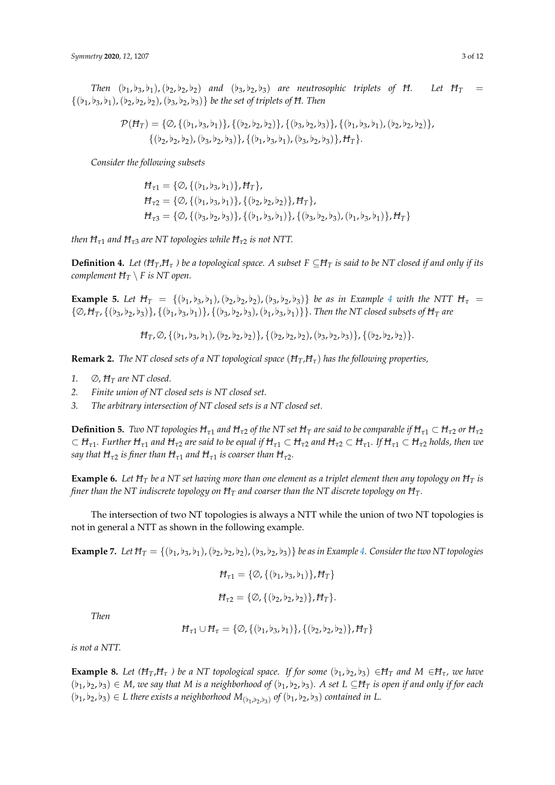*Then*  $(b_1,b_3,b_1)$ ,  $(b_2,b_2,b_2)$  *and*  $(b_3,b_2,b_3)$  *are neutrosophic triplets of H. Let H<sub><i>T*</sub>  $\{(b_1,b_3,b_1), (b_2,b_2,b_2), (b_3,b_2,b_3)\}\$ be the set of triplets of H. Then

$$
\mathcal{P}(H_T) = \{ \emptyset, \{ (b_1, b_3, b_1) \}, \{ (b_2, b_2, b_2) \}, \{ (b_3, b_2, b_3) \}, \{ (b_1, b_3, b_1), (b_2, b_2, b_2) \}, \{ (b_2, b_2, b_2), (b_3, b_2, b_3) \}, \{ (b_1, b_3, b_1), (b_3, b_2, b_3) \}, H_T \}.
$$

*Consider the following subsets*

$$
H_{\tau1} = \{ \emptyset, \{ (b_1, b_3, b_1) \}, H_T \},
$$
  
\n
$$
H_{\tau2} = \{ \emptyset, \{ (b_1, b_3, b_1) \}, \{ (b_2, b_2, b_2) \}, H_T \},
$$
  
\n
$$
H_{\tau3} = \{ \emptyset, \{ (b_3, b_2, b_3) \}, \{ (b_1, b_3, b_1) \}, \{ (b_3, b_2, b_3), (b_1, b_3, b_1) \}, H_T \}
$$

*then*  $H_{\tau1}$  *and*  $H_{\tau3}$  *are* NT topologies while  $H_{\tau2}$  *is not* NTT.

**Definition 4.** *Let* ( $H_T$ , $H_{\tau}$ ) be a topological space. A subset  $F \subseteq H_T$  is said to be NT closed if and only if its *complement*  $H_T \setminus F$  *is NT open.* 

**Example 5.** Let  $H_T = \{(\mathfrak{b}_1, \mathfrak{b}_3, \mathfrak{b}_1), (\mathfrak{b}_2, \mathfrak{b}_2, \mathfrak{b}_2), (\mathfrak{b}_3, \mathfrak{b}_2, \mathfrak{b}_3)\}$  be as in Example [4](#page-1-0) with the NTT  $H_T =$  $\{\emptyset, H_T, \{(b_3,b_2,b_3)\}, \{(b_1,b_3,b_1)\}, \{(b_3,b_2,b_3), (b_1,b_3,b_1)\}\}.$  *Then the NT closed subsets of*  $H_T$  *are* 

$$
H_T, \varnothing, \{(b_1, b_3, b_1), (b_2, b_2, b_2)\}, \{(b_2, b_2, b_2), (b_3, b_2, b_3)\}, \{(b_2, b_2, b_2)\}.
$$

**Remark 2.** *The NT closed sets of a NT topological space*  $(H_T, H_T)$  *has the following properties,* 

- 1.  $\oslash$ ,  $H_T$  are NT closed.
- *2. Finite union of NT closed sets is NT closed set.*
- *3. The arbitrary intersection of NT closed sets is a NT closed set.*

**Definition 5.** *Two NT topologies*  $H_{\tau1}$  *and*  $H_{\tau2}$  *of the NT set*  $H_T$  *are said to be comparable if*  $H_{\tau1} \subset H_{\tau2}$  *or*  $H_{\tau2}$  $\subset H_{\tau 1}$ . Further  $H_{\tau 1}$  and  $H_{\tau 2}$  are said to be equal if  $H_{\tau 1} \subset H_{\tau 2}$  and  $H_{\tau 2} \subset H_{\tau 1}$ . If  $H_{\tau 1} \subset H_{\tau 2}$  holds, then we *say that*  $H_{\tau2}$  *is finer than*  $H_{\tau1}$  *and*  $H_{\tau1}$  *is coarser than*  $H_{\tau2}$ *.* 

**Example 6.** Let  $H_T$  be a NT set having more than one element as a triplet element then any topology on  $H_T$  is *finer than the NT indiscrete topology on*  $H_T$  *and coarser than the NT discrete topology on*  $H_T$ .

The intersection of two NT topologies is always a NTT while the union of two NT topologies is not in general a NTT as shown in the following example.

**Example 7.** Let  $H_T = \{(b_1, b_3, b_1), (b_2, b_2, b_2), (b_3, b_2, b_3)\}$  *be as in Example [4.](#page-1-0) Consider the two NT topologies* 

$$
H_{\tau 1} = \{ \emptyset, \{ (b_1, b_3, b_1) \}, H_T \}
$$
  

$$
H_{\tau 2} = \{ \emptyset, \{ (b_2, b_2, b_2) \}, H_T \}.
$$

*Then*

$$
H_{\tau 1} \cup H_{\tau} = \{ \emptyset, \{ (b_1, b_3, b_1) \}, \{ (b_2, b_2, b_2) \}, H_T \}
$$

*is not a NTT.*

**Example 8.** Let  $(H_T, H_T)$  be a NT topological space. If for some  $(b_1, b_2, b_3) \in H_T$  and  $M \in H_T$ , we have  $(b_1,b_2,b_3) \in M$ , we say that M is a neighborhood of  $(b_1,b_2,b_3)$ . A set  $L \subseteq H_T$  is open if and only if for each  $(b_1, b_2, b_3) \in L$  there exists a neighborhood  $M_{(b_1, b_2, b_3)}$  of  $(b_1, b_2, b_3)$  contained in L.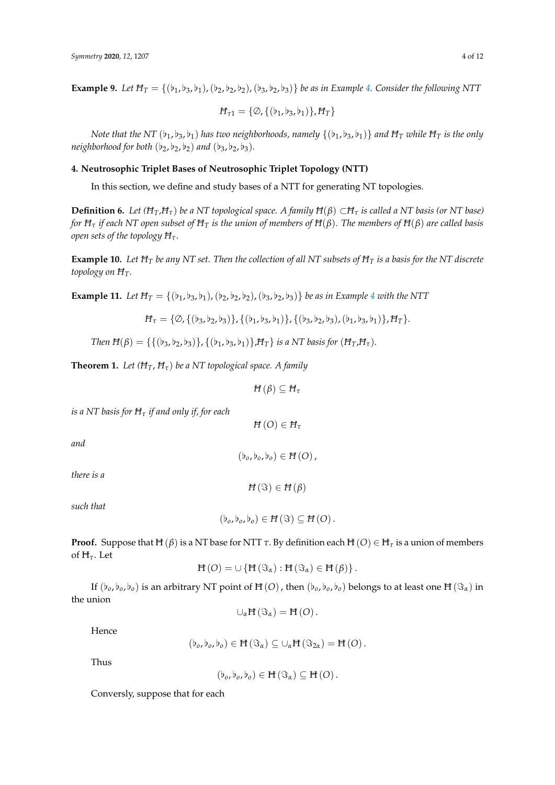**Example 9.** *Let*  $H_T = \{(b_1, b_3, b_1), (b_2, b_2, b_2), (b_3, b_2, b_3)\}$  *be as in Example [4.](#page-1-0) Consider the following NTT* 

$$
H_{\tau 1} = \{ \emptyset, \{ (b_1, b_3, b_1) \}, H_T \}
$$

*Note that the NT* ( $\flat_1$ ,  $\flat_3$ ,  $\flat_1$ ) *has two neighborhoods, namely* {( $\flat_1$ ,  $\flat_3$ ,  $\flat_1$ )} *and*  $H_T$  *while*  $H_T$  *is the only neighborhood for both*  $(b_2, b_2, b_2)$  *and*  $(b_3, b_2, b_3)$ *.* 

# **4. Neutrosophic Triplet Bases of Neutrosophic Triplet Topology (NTT)**

In this section, we define and study bases of a NTT for generating NT topologies.

**Definition 6.** *Let* ( $H_T$ , $H_{\tau}$ ) *be a NT topological space. A family*  $H(\beta) \subset H_{\tau}$  *is called a NT basis (or NT base) for H<sup>τ</sup> if each NT open subset of H<sup>T</sup> is the union of members of H*(*β*)*. The members of H*(*β*) *are called basis open sets of the topology Hτ*.

**Example 10.** *Let H<sup>T</sup> be any NT set. Then the collection of all NT subsets of H<sup>T</sup> is a basis for the NT discrete topology on HT.*

**Example 11.** Let  $H_T = \{(b_1,b_3,b_1), (b_2,b_2,b_2), (b_3,b_2,b_3)\}$  *be as in Example* [4](#page-1-0) *with the NTT* 

$$
H_{\tau} = \{ \emptyset, \{ (b_3, b_2, b_3) \}, \{ (b_1, b_3, b_1) \}, \{ (b_3, b_2, b_3), (b_1, b_3, b_1) \}, H_{\tau} \}.
$$

*Then*  $H(\beta) = \{ \{ (b_3, b_2, b_3) \}, \{ (b_1, b_3, b_1) \}, H_T \}$  *is a NT basis for*  $(H_T, H_T)$ *.* 

<span id="page-3-0"></span>**Theorem 1.** Let  $(H_T, H_\tau)$  be a NT topological space. A family

*H* (*β*)  $\subseteq$  *H<sub>τ</sub>* 

*is a NT basis for H<sup>τ</sup> if and only if, for each*

 $H(O) \in H_{\tau}$ 

 $(b_o, b_o, b_o) \in H(O)$ ,

*and*

*there is a*

*such that*

$$
(\flat_o, \flat_o, \flat_o) \in H(\Im) \subseteq H(O).
$$

 $H(\Im) \in H(\beta)$ 

**Proof.** Suppose that  $H(\beta)$  is a NT base for NTT  $\tau$ . By definition each  $H(O) \in H_{\tau}$  is a union of members of H*τ*. Let

$$
H(O) = \cup \{H(\Im_{\alpha}) : H(\Im_{\alpha}) \in H(\beta)\}.
$$

If  $(b_0, b_0, b_0)$  is an arbitrary NT point of H(O), then  $(b_0, b_0, b_0)$  belongs to at least one H( $\Im_{\alpha}$ ) in the union

$$
\cup_{\alpha} H(\Im_{\alpha})=H(O)\,.
$$

Hence

$$
(\flat_o, \flat_o, \flat_o) \in H(\Im_{\alpha}) \subseteq \cup_{\alpha} H(\Im_{2\alpha}) = H(O).
$$

Thus

$$
(\flat_o, \flat_o, \flat_o) \in \mathbf{H}(\Im_{\alpha}) \subseteq \mathbf{H}(O).
$$

Conversly, suppose that for each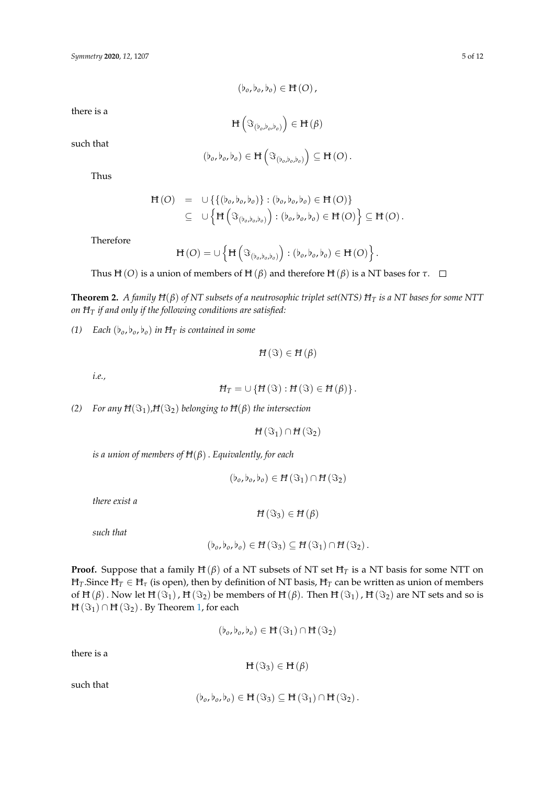$$
(\flat_o, \flat_o, \flat_o) \in \mathbf{H}(O)
$$

there is a

$$
H\left(\mathfrak{I}_{\left(b_o,b_o,b_o\right)}\right)\in H\left(\beta\right)
$$

such that

$$
(\flat_o, \flat_o, \flat_o) \in \mathbf{H}\left(\mathfrak{S}_{(\flat_o, \flat_o, \flat_o)}\right) \subseteq \mathbf{H}(O).
$$

Thus

$$
\begin{array}{rcl}\n\mathbf{H}(O) & = & \cup \left\{ \left\{ (b_o, b_o, b_o) \right\} : (b_o, b_o, b_o) \in \mathbf{H}(O) \right\} \\
& \subseteq & \cup \left\{ \mathbf{H} \left( \mathfrak{F}_{(b_o, b_o, b_o)} \right) : (b_o, b_o, b_o) \in \mathbf{H}(O) \right\} \subseteq \mathbf{H}(O).\n\end{array}
$$

Therefore

$$
\mathsf{H}\left(O\right)=\cup\left\{\mathsf{H}\left(\Im_{\left(b_o,b_o,b_o\right)}\right):\left(b_o,b_o,b_o\right)\in\mathsf{H}\left(O\right)\right\}.
$$

Thus H(*O*) is a union of members of H( $\beta$ ) and therefore H( $\beta$ ) is a NT bases for  $\tau$ .  $\Box$ 

**Theorem 2.** *A family H*(*β*) *of NT subsets of a neutrosophic triplet set(NTS) H<sup>T</sup> is a NT bases for some NTT on H<sup>T</sup> if and only if the following conditions are satisfied:*

*(1) Each*  $(b_o, b_o, b_o)$  *in*  $H_T$  *is contained in some* 

$$
H(\Im) \in H(\beta)
$$

*i.e.,*

$$
H_T = \cup \{H(\Im) : H(\Im) \in H(\beta)\}.
$$

*(2) For any*  $H(\Im_1)$ *,* $H(\Im_2)$  *belonging to*  $H(\beta)$  *the intersection* 

 $H(\Im_1) \cap H(\Im_2)$ 

*is a union of members of H*(*β*). *Equivalently, for each*

$$
(\flat_o, \flat_o, \flat_o) \in H(\Im_1) \cap H(\Im_2)
$$

*there exist a*

$$
H(\Im_3)\in H(\beta)
$$

*such that*

$$
(\flat_o, \flat_o, \flat_o) \in H(\Im_3) \subseteq H(\Im_1) \cap H(\Im_2).
$$

**Proof.** Suppose that a family  $H(\beta)$  of a NT subsets of NT set  $H_T$  is a NT basis for some NTT on  $H_T$ . Since  $H_T \in H_\tau$  (is open), then by definition of NT basis,  $H_T$  can be written as union of members of  $H(\beta)$ . Now let  $H(\Im_1)$ ,  $H(\Im_2)$  be members of  $H(\beta)$ . Then  $H(\Im_1)$ ,  $H(\Im_2)$  are NT sets and so is  $H(\Im_1) \cap H(\Im_2)$ . By Theorem [1,](#page-3-0) for each

$$
(\flat_o, \flat_o, \flat_o) \in H(\Im_1) \cap H(\Im_2)
$$

there is a

$$
H\left(\Im_3\right)\in H\left(\beta\right)
$$

such that

$$
(\flat_o,\flat_o,\flat_o)\in H(\Im_3)\subseteq H(\Im_1)\cap H(\Im_2)\,.
$$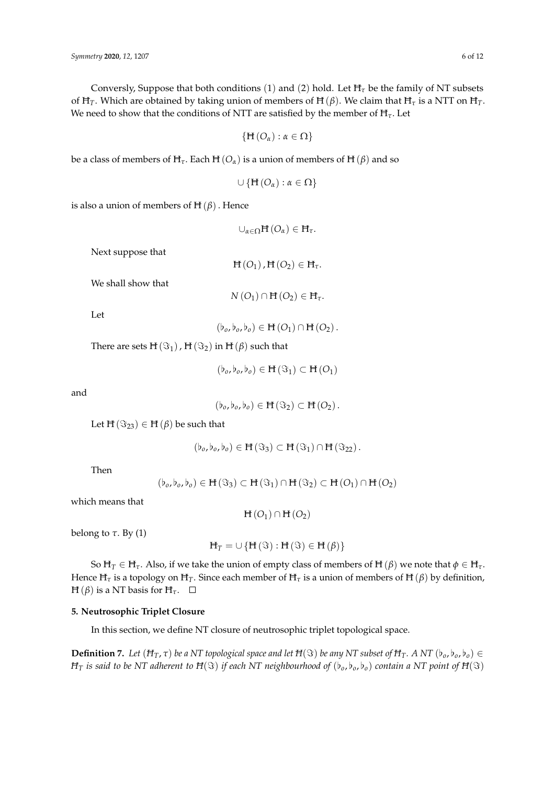Conversly, Suppose that both conditions (1) and (2) hold. Let  $H<sub>\tau</sub>$  be the family of NT subsets of H<sub>T</sub>. Which are obtained by taking union of members of H( $\beta$ ). We claim that H<sub>T</sub> is a NTT on H<sub>T</sub>. We need to show that the conditions of NTT are satisfied by the member of H*τ*. Let

$$
\{H(O_\alpha):\alpha\in\Omega\}
$$

be a class of members of  $H_\tau$ . Each  $H(O_\alpha)$  is a union of members of  $H(\beta)$  and so

$$
\cup\left\{ \boldsymbol{H}\left( O_{\alpha}\right) : \alpha\in\Omega\right\}
$$

is also a union of members of  $H(\beta)$ . Hence

$$
\cup_{\alpha\in\Omega}H\left(O_{\alpha}\right)\in H_{\tau}.
$$

Next suppose that

$$
H(O_1), H(O_2) \in H_{\tau}.
$$

We shall show that

$$
N\left(O_{1}\right)\cap H\left(O_{2}\right)\in H_{\tau}.
$$

Let

 $(b_o, b_o, b_o) \in H(O_1) \cap H(O_2).$ 

There are sets  $H(\Im_1)$ ,  $H(\Im_2)$  in  $H(\beta)$  such that

$$
(\flat_o, \flat_o, \flat_o) \in H(\Im_1) \subset H(O_1)
$$

and

$$
(\flat_o, \flat_o, \flat_o) \in H(\Im_2) \subset H(O_2).
$$

Let  $H(\Im_{23}) \in H(\beta)$  be such that

$$
(\flat_o, \flat_o, \flat_o) \in H(\Im_3) \subset H(\Im_1) \cap H(\Im_{22}).
$$

Then

$$
(\flat_o,\flat_o,\flat_o)\in H({\Im}_3)\subset H({\Im}_1)\cap H({\Im}_2)\subset H({\cal O}_1)\cap H({\cal O}_2)
$$

which means that

 $H(O_1) \cap H(O_2)$ 

belong to  $\tau$ . By (1)

 $H_T = \cup \{H(\Im) : H(\Im) \in H(\beta)\}\$ 

So  $H_T \in H_{\tau}$ . Also, if we take the union of empty class of members of  $H(\beta)$  we note that  $\phi \in H_{\tau}$ . Hence  $H<sub>\tau</sub>$  is a topology on  $H<sub>T</sub>$ . Since each member of  $H<sub>\tau</sub>$  is a union of members of H ( $\beta$ ) by definition,  $H(\beta)$  is a NT basis for  $H_{\tau}$ .  $\square$ 

# **5. Neutrosophic Triplet Closure**

In this section, we define NT closure of neutrosophic triplet topological space.

**Definition 7.** Let  $(H_T, \tau)$  be a NT topological space and let  $H(\Im)$  be any NT subset of  $H_T$ . A NT  $(b_o, b_o, b_o) \in$  $H_T$  *is said to be NT adherent to*  $H(S)$  *if each NT neighbourhood of*  $(b_o, b_o, b_o)$  *contain a NT point of*  $H(S)$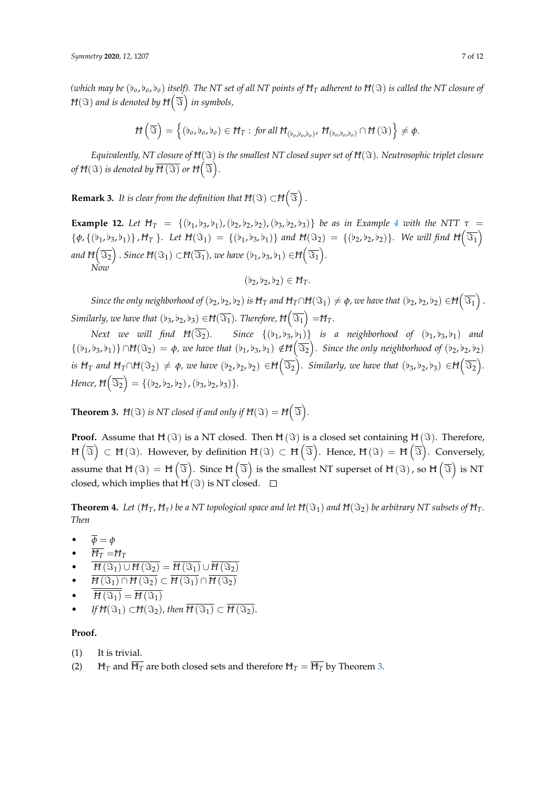*(which may be*  $(b_o, b_o, b_o)$  *itself). The NT set of all NT points of*  $H_T$  *adherent to*  $H(S)$  *<i>is called the NT closure of*  $H(\Im)$  and is denoted by  $H\big(\overline{\Im}\big)$  in symbols,

$$
H\left(\overline{\Im}\right) = \left\{ (b_o, b_o, b_o) \in H_T : \text{ for all } H_{(b_o, b_o, b_o)}, H_{(b_o, b_o, b_o)} \cap H(\Im) \right\} \neq \emptyset.
$$

*Equivalently, NT closure of H*( $\Im$ ) *is the smallest NT closed super set of H*( $\Im$ )*. Neutrosophic triplet closure* of  $H({\Im})$  is denoted by  $\overline{H({\Im})}$  or  $H\big(\overline{{\Im}}\big).$ 

**Remark 3.** It is clear from the definition that  $H(\Im) \subset H(\overline{S})$ .

**Example 12.** Let  $H_T = \{(b_1,b_3,b_1), (b_2,b_2,b_2), (b_3,b_2,b_3)\}$  be as in Example [4](#page-1-0) with the NTT  $\tau$  ${\phi, {\phi, {\phi_1, \phi_3, \phi_1}}}$ , *H<sub>T</sub>* }*.* Let  $H(\Im_1) = {\phi_1, \phi_3, \phi_1}$  and  $H(\Im_2) = {\phi_2, \phi_2, \phi_2}$ . We will find  $H(\overline{\Im_1})$ and  $H\Big(\overline{\Im_2}\Big)$  . Since  $H(\Im_1)\subset\!\! H(\overline{\Im_1})$ , we have  $(\flat_1,\flat_3,\flat_1)\in\!\! H\Big(\overline{\Im_1}\Big).$ *Now*

$$
(\flat_2, \flat_2, \flat_2) \in H_T.
$$

 $S$ ince the only neighborhood of  $(b_2,b_2,b_2)$  is  $H_T$  and  $H_T\cap H(\Im _1)\neq \phi$ , we have that  $(b_2,b_2,b_2)\in H\Big(\overline{\Im _1}\Big)$  .  $S$ imilarly, we have that  $(\flat_3,\flat_2,\flat_3)\in\!H(\overline{\Im_1})$  . Therefore,  $H\!\left(\overline{\Im_1}\right)=\!\!H_T$ .

*Next we will find*  $H(\overline{S_2})$ *.* Since  $\{(b_1,b_3,b_1)\}$  is a neighborhood of  $(b_1,b_3,b_1)$  and  $\{(b_1,b_3,b_1)\}\cap H(\Im_2)=\phi$ , we have that  $(b_1,b_3,b_1)\notin H(\overline{\Im_2})$ . Since the only neighborhood of  $(b_2,b_2,b_2)$  $i$ s  $H_T$  and  $H_T\cap H(\Im_2)\,\neq\, \phi$ , we have  $(\flat_2,\flat_2,\flat_2)\,\in\! H\big(\overline{\Im_2}\big)$ . Similarly, we have that  $(\flat_3,\flat_2,\flat_3)\,\in\! H\big(\overline{\Im_2}\big).$  $Hence, \overline{H}(\overline{\Im_2}) = \{(\flat_2,\flat_2,\flat_2)$  ,  $(\flat_3,\flat_2,\flat_3)\}.$ 

<span id="page-6-0"></span>**Theorem 3.**  $H(\Im)$  is NT closed if and only if  $H(\Im) = H(\overline{\Im})$ .

**Proof.** Assume that  $H(S)$  is a NT closed. Then  $H(S)$  is a closed set containing  $H(S)$ . Therefore,  $\mathrm{H}\left(\overline{\Im}\right)\,\subset\,\mathrm{H}\left(\Im\right).$  However, by definition  $\mathrm{H}\left(\Im\right)\,\subset\,\mathrm{H}\left(\overline{\Im}\right).$  Hence,  $\mathrm{H}\left(\Im\right)\,=\,\mathrm{H}\left(\overline{\Im}\right).$  Conversely, assume that  $\text{H} \left( \Im \right) = \text{H} \left( \overline{\Im} \right)$ . Since  $\text{H} \left( \overline{\Im} \right)$  is the smallest NT superset of  $\text{H} \left( \Im \right)$ , so  $\text{H} \left( \overline{\Im} \right)$  is NT closed, which implies that  $H(S)$  is NT closed.  $\square$ 

**Theorem 4.** Let  $(H_T, H_\tau)$  be a NT topological space and let  $H(S_1)$  and  $H(S_2)$  be arbitrary NT subsets of  $H_T$ . *Then*

- $\overline{\phi} = \phi$
- $\overline{H_T} = H_T$
- $\frac{H_1 H_1}{H(\Im_1) \cup H(\Im_2)} = \overline{H(\Im_1)} \cup \overline{H(\Im_2)}$
- $\overline{H(\Im_1) \cap H(\Im_2)} \subset \overline{H(\Im_1)} \cap \overline{H(\Im_2)}$
- $\overline{H(\Im_1)} = \overline{H(\Im_1)}$
- *If*  $H(\Im_1) \subset H(\Im_2)$ , then  $\overline{H(\Im_1)} \subset \overline{H(\Im_2)}$ .

# **Proof.**

- (1) It is trivial.
- (2)  $H_T$  and  $\overline{H_T}$  are both closed sets and therefore  $H_T = \overline{H_T}$  by Theorem [3.](#page-6-0)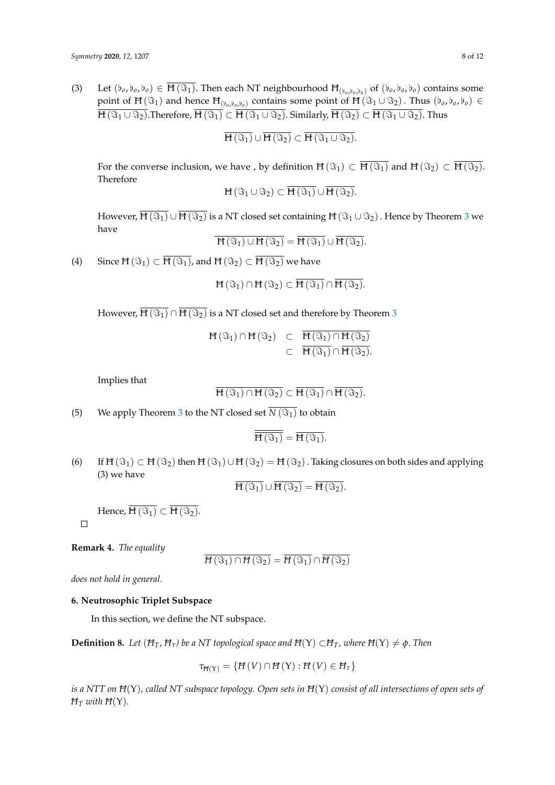(3) Let  $(b_o, b_o, b_o) \in \overline{H(\Im_1)}$ . Then each NT neighbourhood  $H_{(b_o, b_o, b_o)}$  of  $(b_o, b_o, b_o)$  contains some point of  $H(\Im_1)$  and hence  $H_{(b_o,b_o,b_o)}$  contains some point of  $H(\Im_1 \cup \Im_2)$ . Thus  $(b_o,b_o,b_o) \in$  $\overline{H(\Im_1 \cup \Im_2)}$ . Therefore,  $\overline{H(\Im_1)} \subset \overline{H(\Im_1 \cup \Im_2)}$ . Similarly,  $\overline{H(\Im_2)} \subset \overline{H(\Im_1 \cup \Im_2)}$ . Thus

$$
\overline{H(\Im_{1})}\cup \overline{H(\Im_{2})}\subset \overline{H(\Im_{1}\cup \Im_{2})}.
$$

For the converse inclusion, we have , by definition  $H(\Im_1) \subset \overline{H(\Im_1)}$  and  $H(\Im_2) \subset \overline{H(\Im_2)}$ . Therefore

$$
H(\Im_1\cup\Im_2)\subset\overline{H(\Im_1)}\cup\overline{H(\Im_2)}.
$$

However,  $\overline{H(\Im_1)} \cup \overline{H(\Im_2)}$  is a NT closed set containing  $H(\Im_1 \cup \Im_2)$ . Hence by Theorem [3](#page-6-0) we have

$$
\overline{H(\Im_1)\cup H(\Im_2)} = \overline{H(\Im_1)} \cup \overline{H(\Im_2)}.
$$

(4) Since  $H(\Im_1) \subset \overline{H(\Im_1)}$ , and  $H(\Im_2) \subset \overline{H(\Im_2)}$  we have

$$
\mathbf{H}(\mathfrak{S}_1)\cap\mathbf{H}(\mathfrak{S}_2)\subset\overline{\mathbf{H}(\mathfrak{S}_1)}\cap\overline{\mathbf{H}(\mathfrak{S}_2)}.
$$

However,  $\overline{H(\Im_1)} \cap \overline{H(\Im_2)}$  is a NT closed set and therefore by Theorem [3](#page-6-0)

$$
H(\Im_1) \cap H(\Im_2) \quad \subset \quad \frac{\overline{H(\Im_1) \cap H(\Im_2)}}{\overline{H(\Im_1) \cap H(\Im_2)}} \\ \subset \quad \frac{\overline{H(\Im_1) \cap H(\Im_2)}}{\overline{H(\Im_2)}}.
$$

Implies that

$$
\overline{H(\Im_1) \cap H(\Im_2)} \subset \overline{H(\Im_1)} \cap \overline{H(\Im_2)}.
$$

(5) We apply Theorem [3](#page-6-0) to the NT closed set  $\overline{N(\Im_1)}$  to obtain

$$
\overline{\overline{H(\Im_1)}} = \overline{H(\Im_1)}.
$$

(6) If  $H(\Im_1) \subset H(\Im_2)$  then  $H(\Im_1) \cup H(\Im_2) = H(\Im_2)$ . Taking closures on both sides and applying (3) we have

$$
H(\Im_1)\cup H(\Im_2)=H(\Im_2).
$$

Hence,  $\overline{H(\Im_1)} \subset \overline{H(\Im_2)}$ .

**Remark 4.** *The equality*

 $\Box$ 

$$
\overline{H\left(\Im_{1}\right)\cap H\left(\Im_{2}\right)}=\overline{H\left(\Im_{1}\right)}\cap\overline{H\left(\Im_{2}\right)}
$$

*does not hold in general.*

# **6. Neutrosophic Triplet Subspace**

In this section, we define the NT subspace.

**Definition 8.** *Let*  $(H_T, H_\tau)$  *be a NT topological space and*  $H(Y) \subset H_T$ *, where*  $H(Y) \neq \phi$ *. Then* 

$$
\tau_{H(Y)} = \{H(V) \cap H(Y) : H(V) \in H_{\tau}\}
$$

*is a NTT on H*(Υ)*, called NT subspace topology. Open sets in H*(Υ) *consist of all intersections of open sets of*  $H_T$  *with*  $H(Y)$ *.*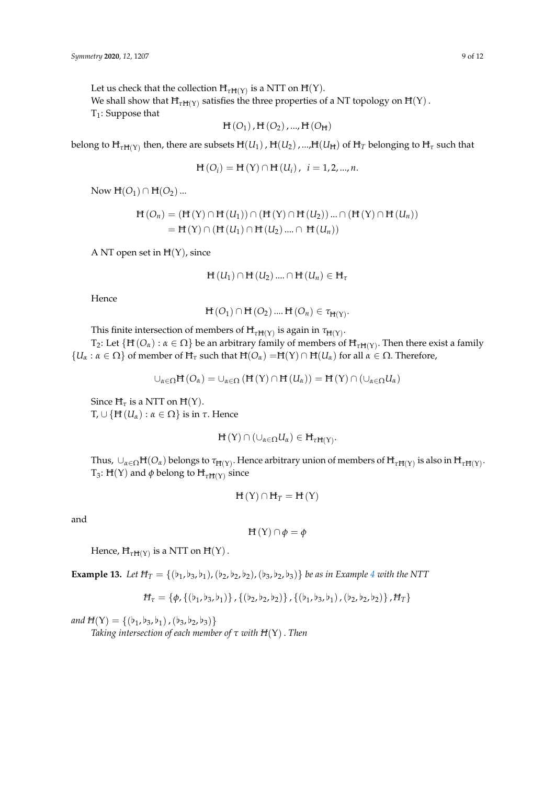Let us check that the collection  $H_{\tau H(Y)}$  is a NTT on  $H(Y)$ .

We shall show that  $\mathrm{H}_{\tau\mathrm{H}(Y)}$  satisfies the three properties of a NT topology on  $\mathrm{H}(Y)$  .

 $T_1$ : Suppose that

$$
H(O_1), H(O_2), ..., H(O_H)
$$

belong to  $H_{\tau H(Y)}$  then, there are subsets  $H(U_1)$  ,  $H(U_2)$  , ..., $H(U_H)$  of  $H_T$  belonging to  $H_\tau$  such that

$$
H(O_i) = H(Y) \cap H(U_i), i = 1, 2, ..., n.
$$

Now  $H(O_1) \cap H(O_2)$ ...

$$
H(O_n) = (H(Y) \cap H(U_1)) \cap (H(Y) \cap H(U_2)) \dots \cap (H(Y) \cap H(U_n))
$$
  
= H(Y) \cap (H(U\_1) \cap H(U\_2) \dots \cap H(U\_n))

A NT open set in  $H(Y)$ , since

$$
\mathbf{H}(U_1) \cap \mathbf{H}(U_2) \dots \cap \mathbf{H}(U_n) \in \mathbf{H}_{\tau}
$$

Hence

$$
H(O_1) \cap H(O_2) \dots H(O_n) \in \tau_{H(Y)}.
$$

This finite intersection of members of  $H_{\tau H(Y)}$  is again in  $\tau_{H(Y)}.$ 

 $T_2$ : Let {H (*O*<sub>*α*</sub>) : *α* ∈ Ω} be an arbitrary family of members of H<sub>τH(Y)</sub>. Then there exist a family  ${U_\alpha : \alpha \in \Omega}$  of member of  $H_\tau$  such that  $H(O_\alpha) = H(Y) \cap H(U_\alpha)$  for all  $\alpha \in \Omega$ . Therefore,

$$
\cup_{\alpha\in\Omega} \mathbf{H}\left(O_{\alpha}\right)=\cup_{\alpha\in\Omega}\left(\mathbf{H}\left(Y\right)\cap\mathbf{H}\left(U_{\alpha}\right)\right)=\mathbf{H}\left(Y\right)\cap\left(\cup_{\alpha\in\Omega} U_{\alpha}\right)
$$

Since  $H_\tau$  is a NTT on  $H(Y)$ . T, ∪ {H (*Uα*) : *α* ∈ Ω} is in *τ*. Hence

$$
\mathbf{H}(\mathbf{Y})\cap (\cup_{\alpha\in\Omega}U_{\alpha})\in\mathbf{H}_{\tau\mathbf{H}(\mathbf{Y})}.
$$

Thus,  $\cup_{\alpha\in\Omega}\mathbb{H}(O_\alpha)$  belongs to  $\tau_{\mathbb{H}(Y)}$ . Hence arbitrary union of members of  $\mathbb{H}_{\tau\mathbb{H}(Y)}$  is also in  $\mathbb{H}_{\tau\mathbb{H}(Y)}$ .  $T_3$ : H(Y) and  $\phi$  belong to H<sub>τH(Y)</sub> since

$$
H\left( Y\right) \cap H_{T}=H\left( Y\right)
$$

and

$$
H(Y) \cap \phi = \phi
$$

Hence,  $\mathsf{H}_{\tau\mathsf{H}(\mathsf{Y})}$  is a NTT on  $\mathsf{H}(\mathsf{Y})$  .

**Example 13.** Let  $H_T = \{(b_1,b_3,b_1), (b_2,b_2,b_2), (b_3,b_2,b_3)\}$  *be as in Example* [4](#page-1-0) *with the NTT* 

$$
H_{\tau} = \{ \phi, \{ (b_1, b_3, b_1) \}, \{ (b_2, b_2, b_2) \}, \{ (b_1, b_3, b_1), (b_2, b_2, b_2) \}, H_{\tau} \}
$$

*and*  $H(Y) = \{(b_1,b_3,b_1), (b_3,b_2,b_3)\}\$ *Taking intersection of each member of τ with H*(Υ). *Then*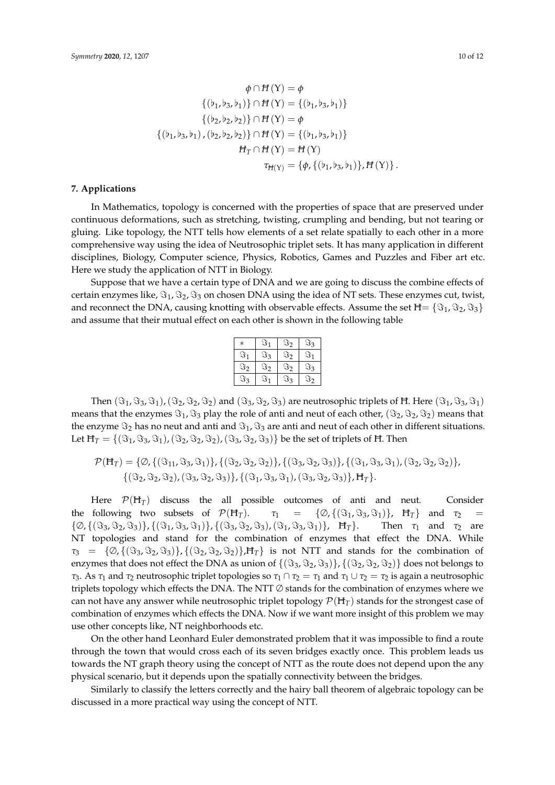$$
\phi \cap H(Y) = \phi
$$
  
\n
$$
\{(b_1, b_3, b_1)\} \cap H(Y) = \{(b_1, b_3, b_1)\}
$$
  
\n
$$
\{(b_2, b_2, b_2)\} \cap H(Y) = \phi
$$
  
\n
$$
\{(b_1, b_3, b_1), (b_2, b_2, b_2)\} \cap H(Y) = \{(b_1, b_3, b_1)\}
$$
  
\n
$$
H_T \cap H(Y) = H(Y)
$$
  
\n
$$
\tau_{H(Y)} = \{\phi, \{(b_1, b_3, b_1)\}, H(Y)\}.
$$

#### **7. Applications**

In Mathematics, topology is concerned with the properties of space that are preserved under continuous deformations, such as stretching, twisting, crumpling and bending, but not tearing or gluing. Like topology, the NTT tells how elements of a set relate spatially to each other in a more comprehensive way using the idea of Neutrosophic triplet sets. It has many application in different disciplines, Biology, Computer science, Physics, Robotics, Games and Puzzles and Fiber art etc. Here we study the application of NTT in Biology.

Suppose that we have a certain type of DNA and we are going to discuss the combine effects of certain enzymes like,  $\Im_1$ ,  $\Im_2$ ,  $\Im_3$  on chosen DNA using the idea of NT sets. These enzymes cut, twist, and reconnect the DNA, causing knotting with observable effects. Assume the set  $H = \{\Im_1, \Im_2, \Im_3\}$ and assume that their mutual effect on each other is shown in the following table

| $\ast$  | $\Im_1$ | $\Im_2$ | $\Im$ 3 |
|---------|---------|---------|---------|
| $\Im_1$ | $\Im_3$ | $\Im_2$ | $\Im_1$ |
| $\Im_2$ | $\Im_2$ | $\Im_2$ | $\Im_3$ |
| $\Im$ 3 | ্য 1    | $\Im$ 3 | $\Im_2$ |

Then  $(\Im_1, \Im_3, \Im_1)$ ,  $(\Im_2, \Im_2, \Im_2)$  and  $(\Im_3, \Im_2, \Im_3)$  are neutrosophic triplets of H. Here  $(\Im_1, \Im_3, \Im_1)$ means that the enzymes  $\Im_1$ ,  $\Im_3$  play the role of anti and neut of each other,  $(\Im_2, \Im_2, \Im_2)$  means that the enzyme  $\Im_2$  has no neut and anti and  $\Im_1$ ,  $\Im_3$  are anti and neut of each other in different situations. Let  $H_T = \{(\Im_1, \Im_3, \Im_1), (\Im_2, \Im_2, \Im_2), (\Im_3, \Im_2, \Im_3)\}\$ be the set of triplets of H. Then

$$
\mathcal{P}(\mathbf{H}_{T}) = \{ \emptyset, \{ (\mathfrak{F}_{11}, \mathfrak{F}_{3}, \mathfrak{F}_{1}) \}, \{ (\mathfrak{F}_{2}, \mathfrak{F}_{2}, \mathfrak{F}_{2}) \}, \{ (\mathfrak{F}_{3}, \mathfrak{F}_{2}, \mathfrak{F}_{3}) \}, \{ (\mathfrak{F}_{1}, \mathfrak{F}_{3}, \mathfrak{F}_{1}) \}, (\mathfrak{F}_{2}, \mathfrak{F}_{2}, \mathfrak{F}_{2}) \}, \{ (\mathfrak{F}_{2}, \mathfrak{F}_{2}, \mathfrak{F}_{2}) \}, (\mathfrak{F}_{3}, \mathfrak{F}_{2}, \mathfrak{F}_{3}) \}, \{ (\mathfrak{F}_{3}, \mathfrak{F}_{2}, \mathfrak{F}_{3}) \}, \mathbf{H}_{T} \}.
$$

Here  $P(H_T)$  discuss the all possible outcomes of anti and neut. Consider the following two subsets of  $\mathcal{P}(H_T)$ .  $\tau_1 = {\varnothing}, {\{\mathfrak{S}_1, \mathfrak{S}_3, \mathfrak{S}_1\}}$ ,  $H_T$  and  $\tau_2$  $\{\emptyset, \{(\Im_3, \Im_2, \Im_3)\}, \{(\Im_1, \Im_3, \Im_1)\}, \{(\Im_3, \Im_2, \Im_3), (\Im_1, \Im_3, \Im_1)\}, \ \ \text{H}_T\}.$  Then  $\tau_1$  and  $\tau_2$  are NT topologies and stand for the combination of enzymes that effect the DNA. While  $\tau_3 = {\emptyset, {\{(\Im_3, \Im_2, \Im_3)\}, {\{(\Im_2, \Im_2, \Im_2)\}, H_T\}}}$  is not NTT and stands for the combination of enzymes that does not effect the DNA as union of  $\{(\Im_3, \Im_2, \Im_3)\}, \{(\Im_2, \Im_2, \Im_2)\}\)$  does not belongs to *τ*<sub>3</sub>. As *τ*<sub>1</sub> and *τ*<sub>2</sub> neutrosophic triplet topologies so *τ*<sub>1</sub> ∩ *τ*<sub>2</sub> = *τ*<sub>1</sub> and *τ*<sub>1</sub> ∪ *τ*<sub>2</sub> = *τ*<sub>2</sub> is again a neutrosophic triplets topology which effects the DNA. The NTT  $\varnothing$  stands for the combination of enzymes where we can not have any answer while neutrosophic triplet topology  $\mathcal{P}(H_T)$  stands for the strongest case of combination of enzymes which effects the DNA. Now if we want more insight of this problem we may use other concepts like, NT neighborhoods etc.

On the other hand Leonhard Euler demonstrated problem that it was impossible to find a route through the town that would cross each of its seven bridges exactly once. This problem leads us towards the NT graph theory using the concept of NTT as the route does not depend upon the any physical scenario, but it depends upon the spatially connectivity between the bridges.

Similarly to classify the letters correctly and the hairy ball theorem of algebraic topology can be discussed in a more practical way using the concept of NTT.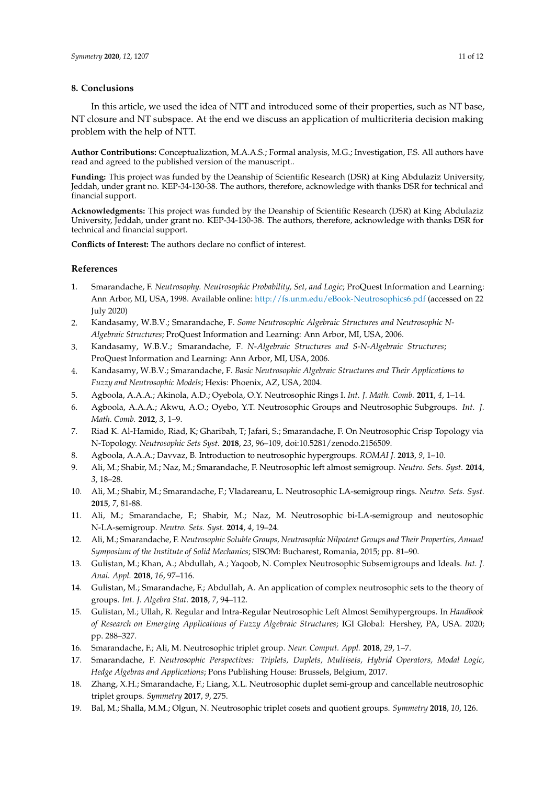#### **8. Conclusions**

In this article, we used the idea of NTT and introduced some of their properties, such as NT base, NT closure and NT subspace. At the end we discuss an application of multicriteria decision making problem with the help of NTT.

**Author Contributions:** Conceptualization, M.A.A.S.; Formal analysis, M.G.; Investigation, F.S. All authors have read and agreed to the published version of the manuscript..

**Funding:** This project was funded by the Deanship of Scientific Research (DSR) at King Abdulaziz University, Jeddah, under grant no. KEP-34-130-38. The authors, therefore, acknowledge with thanks DSR for technical and financial support.

**Acknowledgments:** This project was funded by the Deanship of Scientific Research (DSR) at King Abdulaziz University, Jeddah, under grant no. KEP-34-130-38. The authors, therefore, acknowledge with thanks DSR for technical and financial support.

**Conflicts of Interest:** The authors declare no conflict of interest.

# **References**

- <span id="page-10-0"></span>1. Smarandache, F. *Neutrosophy. Neutrosophic Probability, Set, and Logic*; ProQuest Information and Learning: Ann Arbor, MI, USA, 1998. Available online: <http://fs.unm.edu/eBook-Neutrosophics6.pdf> (accessed on 22 July 2020)
- <span id="page-10-1"></span>2. Kandasamy, W.B.V.; Smarandache, F. *Some Neutrosophic Algebraic Structures and Neutrosophic N-Algebraic Structures*; ProQuest Information and Learning: Ann Arbor, MI, USA, 2006.
- 3. Kandasamy, W.B.V.; Smarandache, F. *N-Algebraic Structures and S-N-Algebraic Structures*; ProQuest Information and Learning: Ann Arbor, MI, USA, 2006.
- <span id="page-10-2"></span>4. Kandasamy, W.B.V.; Smarandache, F. *Basic Neutrosophic Algebraic Structures and Their Applications to Fuzzy and Neutrosophic Models*; Hexis: Phoenix, AZ, USA, 2004.
- <span id="page-10-3"></span>5. Agboola, A.A.A.; Akinola, A.D.; Oyebola, O.Y. Neutrosophic Rings I. *Int. J. Math. Comb.* **2011**, *4*, 1–14.
- 6. Agboola, A.A.A.; Akwu, A.O.; Oyebo, Y.T. Neutrosophic Groups and Neutrosophic Subgroups. *Int. J. Math. Comb.* **2012**, *3*, 1–9.
- 7. Riad K. Al-Hamido, Riad, K; Gharibah, T; Jafari, S.; Smarandache, F. On Neutrosophic Crisp Topology via N-Topology. *Neutrosophic Sets Syst.* **2018**, *23*, 96–109, doi:10.5281/zenodo.2156509.
- <span id="page-10-4"></span>8. Agboola, A.A.A.; Davvaz, B. Introduction to neutrosophic hypergroups. *ROMAI J.* **2013**, *9*, 1–10.
- <span id="page-10-5"></span>9. Ali, M.; Shabir, M.; Naz, M.; Smarandache, F. Neutrosophic left almost semigroup. *Neutro. Sets. Syst.* **2014**, *3*, 18–28.
- 10. Ali, M.; Shabir, M.; Smarandache, F.; Vladareanu, L. Neutrosophic LA-semigroup rings. *Neutro. Sets. Syst.* **2015**, *7*, 81-88.
- 11. Ali, M.; Smarandache, F.; Shabir, M.; Naz, M. Neutrosophic bi-LA-semigroup and neutosophic N-LA-semigroup. *Neutro. Sets. Syst.* **2014**, *4*, 19–24.
- <span id="page-10-6"></span>12. Ali, M.; Smarandache, F. *Neutrosophic Soluble Groups, Neutrosophic Nilpotent Groups and Their Properties, Annual Symposium of the Institute of Solid Mechanics*; SISOM: Bucharest, Romania, 2015; pp. 81–90.
- <span id="page-10-7"></span>13. Gulistan, M.; Khan, A.; Abdullah, A.; Yaqoob, N. Complex Neutrosophic Subsemigroups and Ideals. *Int. J. Anai. Appl.* **2018**, *16*, 97–116.
- 14. Gulistan, M.; Smarandache, F.; Abdullah, A. An application of complex neutrosophic sets to the theory of groups. *Int. J. Algebra Stat.* **2018**, *7*, 94–112.
- <span id="page-10-8"></span>15. Gulistan, M.; Ullah, R. Regular and Intra-Regular Neutrosophic Left Almost Semihypergroups. In *Handbook of Research on Emerging Applications of Fuzzy Algebraic Structures*; IGI Global: Hershey, PA, USA. 2020; pp. 288–327.
- <span id="page-10-9"></span>16. Smarandache, F.; Ali, M. Neutrosophic triplet group. *Neur. Comput. Appl.* **2018**, *29*, 1–7.
- <span id="page-10-10"></span>17. Smarandache, F. *Neutrosophic Perspectives: Triplets, Duplets, Multisets, Hybrid Operators, Modal Logic, Hedge Algebras and Applications*; Pons Publishing House: Brussels, Belgium, 2017.
- <span id="page-10-11"></span>18. Zhang, X.H.; Smarandache, F.; Liang, X.L. Neutrosophic duplet semi-group and cancellable neutrosophic triplet groups. *Symmetry* **2017**, *9*, 275.
- <span id="page-10-12"></span>19. Bal, M.; Shalla, M.M.; Olgun, N. Neutrosophic triplet cosets and quotient groups. *Symmetry* **2018**, *10*, 126.